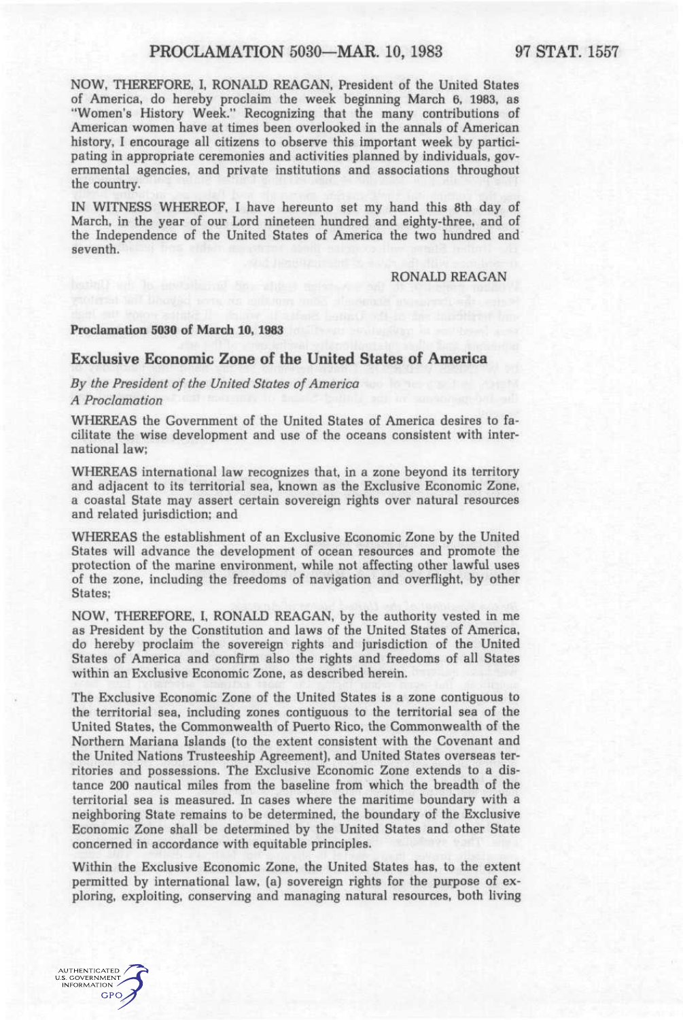NOW, THEREFORE, I, RONALD REAGAN, President of the United States of America, do hereby proclaim the week beginning March 6, 1983, as "Women's History Week." Recognizing that the many contributions of American women have at times been overlooked in the annals of American history, I encourage all citizens to observe this important week by participating in appropriate ceremonies and activities planned by individuals, governmental agencies, and private institutions and associations throughout the country.

IN WITNESS WHEREOF, I have hereunto set my hand this 8th day of March, in the year of our Lord nineteen hundred and eighty-three, and of the Independence of the United States of America the two hundred and seventh.

RONALD REAGAN

#### **Proclamation 5030 of March 10,1983**

# **Exclusive Economic Zone of the United States of America**

## *By the President of the United States of America A Proclamation*

WHEREAS the Government of the United States of America desires to facilitate the wise development and use of the oceans consistent with international law;

WHEREAS international law recognizes that, in a zone beyond its territory and adjacent to its territorial sea, known as the Exclusive Economic Zone, a coastal State may assert certain sovereign rights over natural resources and related jurisdiction; and

WHEREAS the establishment of an Exclusive Economic Zone by the United States will advance the development of ocean resources and promote the protection of the marine environment, while not affecting other lawful uses of the zone, including the freedoms of navigation and overflight, by other States;

NOW, THEREFORE, I, RONALD REAGAN, by the authority vested in me as President by the Constitution and laws of the United States of America, do hereby proclaim the sovereign rights and jurisdiction of the United States of America and confirm also the rights and freedoms of all States within an Exclusive Economic Zone, as described herein.

The Exclusive Economic Zone of the United States is a zone contiguous to the territorial sea, including zones contiguous to the territorial sea of the United States, the Commonwealth of Puerto Rico, the Commonwealth of the Northern Mariana Islands (to the extent consistent with the Covenant and the United Nations Trusteeship Agreement), and United States overseas territories and possessions. The Exclusive Economic Zone extends to a distance 200 nautical miles from the baseline from which the breadth of the territorial sea is measured. In cases where the maritime boundary with a neighboring State remains to be determined, the boundary of the Exclusive Economic Zone shall be determined by the United States and other State concerned in accordance with equitable principles.

Within the Exclusive Economic Zone, the United States has, to the extent permitted by international law, (a) sovereign rights for the purpose of exploring, exploiting, conserving and managing natural resources, both living